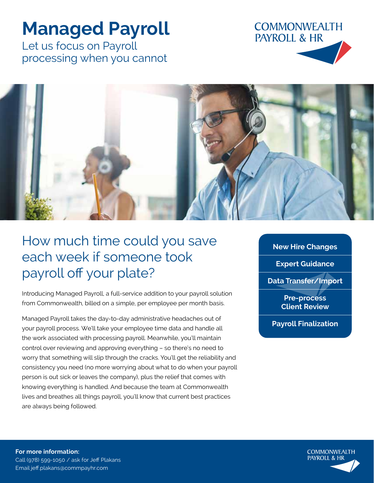## **Managed Payroll**

Let us focus on Payroll processing when you cannot





## How much time could you save each week if someone took payroll off your plate?

Introducing Managed Payroll, a full-service addition to your payroll solution from Commonwealth, billed on a simple, per employee per month basis.

Managed Payroll takes the day-to-day administrative headaches out of your payroll process. We'll take your employee time data and handle all the work associated with processing payroll. Meanwhile, you'll maintain control over reviewing and approving everything – so there's no need to worry that something will slip through the cracks. You'll get the reliability and consistency you need (no more worrying about what to do when your payroll person is out sick or leaves the company), plus the relief that comes with knowing everything is handled. And because the team at Commonwealth lives and breathes all things payroll, you'll know that current best practices are always being followed.

**New Hire Changes Expert Guidance Data Transfer/Import Pre-process Client Review**

**Payroll Finalization**

**For more information:** Call (978) 599-1050 / ask for Jeff Plakans Email jeff.plakans@commpayhr.com